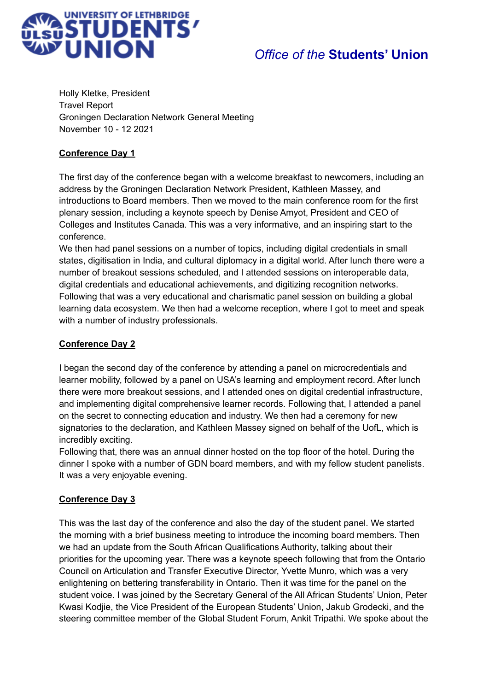

# *Office of the* **Students' Union**

Holly Kletke, President Travel Report Groningen Declaration Network General Meeting November 10 - 12 2021

#### **Conference Day 1**

The first day of the conference began with a welcome breakfast to newcomers, including an address by the Groningen Declaration Network President, Kathleen Massey, and introductions to Board members. Then we moved to the main conference room for the first plenary session, including a keynote speech by Denise Amyot, President and CEO of Colleges and Institutes Canada. This was a very informative, and an inspiring start to the conference.

We then had panel sessions on a number of topics, including digital credentials in small states, digitisation in India, and cultural diplomacy in a digital world. After lunch there were a number of breakout sessions scheduled, and I attended sessions on interoperable data, digital credentials and educational achievements, and digitizing recognition networks. Following that was a very educational and charismatic panel session on building a global learning data ecosystem. We then had a welcome reception, where I got to meet and speak with a number of industry professionals.

### **Conference Day 2**

I began the second day of the conference by attending a panel on microcredentials and learner mobility, followed by a panel on USA's learning and employment record. After lunch there were more breakout sessions, and I attended ones on digital credential infrastructure, and implementing digital comprehensive learner records. Following that, I attended a panel on the secret to connecting education and industry. We then had a ceremony for new signatories to the declaration, and Kathleen Massey signed on behalf of the UofL, which is incredibly exciting.

Following that, there was an annual dinner hosted on the top floor of the hotel. During the dinner I spoke with a number of GDN board members, and with my fellow student panelists. It was a very enjoyable evening.

#### **Conference Day 3**

This was the last day of the conference and also the day of the student panel. We started the morning with a brief business meeting to introduce the incoming board members. Then we had an update from the South African Qualifications Authority, talking about their priorities for the upcoming year. There was a keynote speech following that from the Ontario Council on Articulation and Transfer Executive Director, Yvette Munro, which was a very enlightening on bettering transferability in Ontario. Then it was time for the panel on the student voice. I was joined by the Secretary General of the All African Students' Union, Peter Kwasi Kodjie, the Vice President of the European Students' Union, Jakub Grodecki, and the steering committee member of the Global Student Forum, Ankit Tripathi. We spoke about the